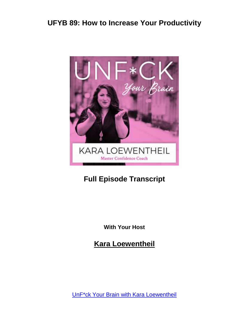

#### **Full Episode Transcript**

**With Your Host**

**Kara Loewentheil**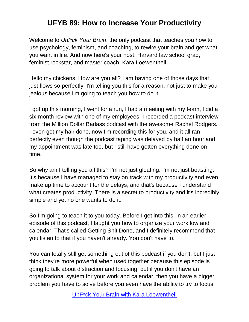Welcome to *Unf\*ck Your Brain*, the only podcast that teaches you how to use psychology, feminism, and coaching, to rewire your brain and get what you want in life. And now here's your host, Harvard law school grad, feminist rockstar, and master coach, Kara Loewentheil.

Hello my chickens. How are you all? I am having one of those days that just flows so perfectly. I'm telling you this for a reason, not just to make you jealous because I'm going to teach you how to do it.

I got up this morning, I went for a run, I had a meeting with my team, I did a six-month review with one of my employees, I recorded a podcast interview from the Million Dollar Badass podcast with the awesome Rachel Rodgers. I even got my hair done, now I'm recording this for you, and it all ran perfectly even though the podcast taping was delayed by half an hour and my appointment was late too, but I still have gotten everything done on time.

So why am I telling you all this? I'm not just gloating. I'm not just boasting. It's because I have managed to stay on track with my productivity and even make up time to account for the delays, and that's because I understand what creates productivity. There is a secret to productivity and it's incredibly simple and yet no one wants to do it.

So I'm going to teach it to you today. Before I get into this, in an earlier episode of this podcast, I taught you how to organize your workflow and calendar. That's called Getting Shit Done, and I definitely recommend that you listen to that if you haven't already. You don't have to.

You can totally still get something out of this podcast if you don't, but I just think they're more powerful when used together because this episode is going to talk about distraction and focusing, but if you don't have an organizational system for your work and calendar, then you have a bigger problem you have to solve before you even have the ability to try to focus.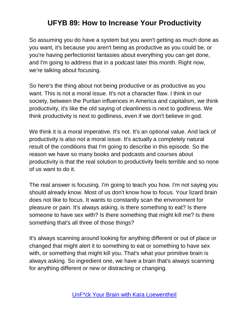So assuming you do have a system but you aren't getting as much done as you want, it's because you aren't being as productive as you could be, or you're having perfectionist fantasies about everything you can get done, and I'm going to address that in a podcast later this month. Right now, we're talking about focusing.

So here's the thing about not being productive or as productive as you want. This is not a moral issue. It's not a character flaw. I think in our society, between the Puritan influences in America and capitalism, we think productivity, it's like the old saying of cleanliness is next to godliness. We think productivity is next to godliness, even if we don't believe in god.

We think it is a moral imperative. It's not. It's an optional value. And lack of productivity is also not a moral issue. It's actually a completely natural result of the conditions that I'm going to describe in this episode. So the reason we have so many books and podcasts and courses about productivity is that the real solution to productivity feels terrible and so none of us want to do it.

The real answer is focusing. I'm going to teach you how. I'm not saying you should already know. Most of us don't know how to focus. Your lizard brain does not like to focus. It wants to constantly scan the environment for pleasure or pain. It's always asking, is there something to eat? Is there someone to have sex with? Is there something that might kill me? Is there something that's all three of those things?

It's always scanning around looking for anything different or out of place or changed that might alert it to something to eat or something to have sex with, or something that might kill you. That's what your primitive brain is always asking. So ingredient one, we have a brain that's always scanning for anything different or new or distracting or changing.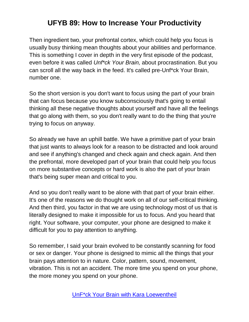Then ingredient two, your prefrontal cortex, which could help you focus is usually busy thinking mean thoughts about your abilities and performance. This is something I cover in depth in the very first episode of the podcast, even before it was called *Unf\*ck Your Brain,* about procrastination. But you can scroll all the way back in the feed. It's called pre-Unf\*ck Your Brain, number one.

So the short version is you don't want to focus using the part of your brain that can focus because you know subconsciously that's going to entail thinking all these negative thoughts about yourself and have all the feelings that go along with them, so you don't really want to do the thing that you're trying to focus on anyway.

So already we have an uphill battle. We have a primitive part of your brain that just wants to always look for a reason to be distracted and look around and see if anything's changed and check again and check again. And then the prefrontal, more developed part of your brain that could help you focus on more substantive concepts or hard work is also the part of your brain that's being super mean and critical to you.

And so you don't really want to be alone with that part of your brain either. It's one of the reasons we do thought work on all of our self-critical thinking. And then third, you factor in that we are using technology most of us that is literally designed to make it impossible for us to focus. And you heard that right. Your software, your computer, your phone are designed to make it difficult for you to pay attention to anything.

So remember, I said your brain evolved to be constantly scanning for food or sex or danger. Your phone is designed to mimic all the things that your brain pays attention to in nature. Color, pattern, sound, movement, vibration. This is not an accident. The more time you spend on your phone, the more money you spend on your phone.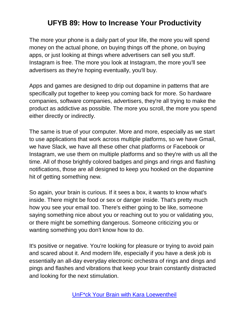The more your phone is a daily part of your life, the more you will spend money on the actual phone, on buying things off the phone, on buying apps, or just looking at things where advertisers can sell you stuff. Instagram is free. The more you look at Instagram, the more you'll see advertisers as they're hoping eventually, you'll buy.

Apps and games are designed to drip out dopamine in patterns that are specifically put together to keep you coming back for more. So hardware companies, software companies, advertisers, they're all trying to make the product as addictive as possible. The more you scroll, the more you spend either directly or indirectly.

The same is true of your computer. More and more, especially as we start to use applications that work across multiple platforms, so we have Gmail, we have Slack, we have all these other chat platforms or Facebook or Instagram, we use them on multiple platforms and so they're with us all the time. All of those brightly colored badges and pings and rings and flashing notifications, those are all designed to keep you hooked on the dopamine hit of getting something new.

So again, your brain is curious. If it sees a box, it wants to know what's inside. There might be food or sex or danger inside. That's pretty much how you see your email too. There's either going to be like, someone saying something nice about you or reaching out to you or validating you, or there might be something dangerous. Someone criticizing you or wanting something you don't know how to do.

It's positive or negative. You're looking for pleasure or trying to avoid pain and scared about it. And modern life, especially if you have a desk job is essentially an all-day everyday electronic orchestra of rings and dings and pings and flashes and vibrations that keep your brain constantly distracted and looking for the next stimulation.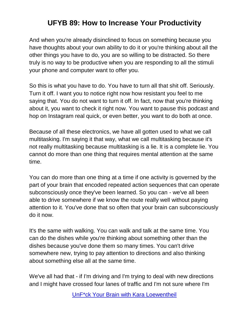And when you're already disinclined to focus on something because you have thoughts about your own ability to do it or you're thinking about all the other things you have to do, you are so willing to be distracted. So there truly is no way to be productive when you are responding to all the stimuli your phone and computer want to offer you.

So this is what you have to do. You have to turn all that shit off. Seriously. Turn it off. I want you to notice right now how resistant you feel to me saying that. You do not want to turn it off. In fact, now that you're thinking about it, you want to check it right now. You want to pause this podcast and hop on Instagram real quick, or even better, you want to do both at once.

Because of all these electronics, we have all gotten used to what we call multitasking. I'm saying it that way, what we call multitasking because it's not really multitasking because multitasking is a lie. It is a complete lie. You cannot do more than one thing that requires mental attention at the same time.

You can do more than one thing at a time if one activity is governed by the part of your brain that encoded repeated action sequences that can operate subconsciously once they've been learned. So you can - we've all been able to drive somewhere if we know the route really well without paying attention to it. You've done that so often that your brain can subconsciously do it now.

It's the same with walking. You can walk and talk at the same time. You can do the dishes while you're thinking about something other than the dishes because you've done them so many times. You can't drive somewhere new, trying to pay attention to directions and also thinking about something else all at the same time.

We've all had that - if I'm driving and I'm trying to deal with new directions and I might have crossed four lanes of traffic and I'm not sure where I'm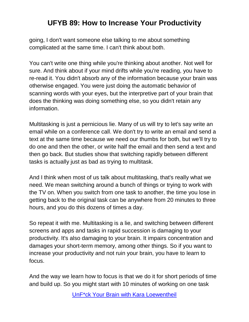going, I don't want someone else talking to me about something complicated at the same time. I can't think about both.

You can't write one thing while you're thinking about another. Not well for sure. And think about if your mind drifts while you're reading, you have to re-read it. You didn't absorb any of the information because your brain was otherwise engaged. You were just doing the automatic behavior of scanning words with your eyes, but the interpretive part of your brain that does the thinking was doing something else, so you didn't retain any information.

Multitasking is just a pernicious lie. Many of us will try to let's say write an email while on a conference call. We don't try to write an email and send a text at the same time because we need our thumbs for both, but we'll try to do one and then the other, or write half the email and then send a text and then go back. But studies show that switching rapidly between different tasks is actually just as bad as trying to multitask.

And I think when most of us talk about multitasking, that's really what we need. We mean switching around a bunch of things or trying to work with the TV on. When you switch from one task to another, the time you lose in getting back to the original task can be anywhere from 20 minutes to three hours, and you do this dozens of times a day.

So repeat it with me. Multitasking is a lie, and switching between different screens and apps and tasks in rapid succession is damaging to your productivity. It's also damaging to your brain. It impairs concentration and damages your short-term memory, among other things. So if you want to increase your productivity and not ruin your brain, you have to learn to focus.

And the way we learn how to focus is that we do it for short periods of time and build up. So you might start with 10 minutes of working on one task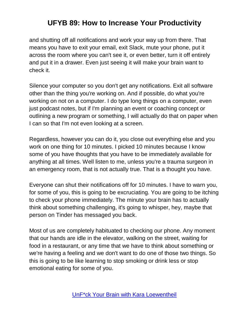and shutting off all notifications and work your way up from there. That means you have to exit your email, exit Slack, mute your phone, put it across the room where you can't see it, or even better, turn it off entirely and put it in a drawer. Even just seeing it will make your brain want to check it.

Silence your computer so you don't get any notifications. Exit all software other than the thing you're working on. And if possible, do what you're working on not on a computer. I do type long things on a computer, even just podcast notes, but if I'm planning an event or coaching concept or outlining a new program or something, I will actually do that on paper when I can so that I'm not even looking at a screen.

Regardless, however you can do it, you close out everything else and you work on one thing for 10 minutes. I picked 10 minutes because I know some of you have thoughts that you have to be immediately available for anything at all times. Well listen to me, unless you're a trauma surgeon in an emergency room, that is not actually true. That is a thought you have.

Everyone can shut their notifications off for 10 minutes. I have to warn you, for some of you, this is going to be excruciating. You are going to be itching to check your phone immediately. The minute your brain has to actually think about something challenging, it's going to whisper, hey, maybe that person on Tinder has messaged you back.

Most of us are completely habituated to checking our phone. Any moment that our hands are idle in the elevator, walking on the street, waiting for food in a restaurant, or any time that we have to think about something or we're having a feeling and we don't want to do one of those two things. So this is going to be like learning to stop smoking or drink less or stop emotional eating for some of you.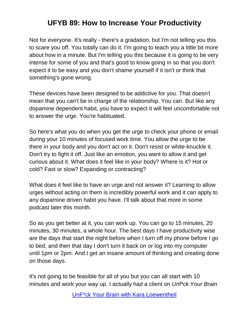Not for everyone. It's really - there's a gradation, but I'm not telling you this to scare you off. You totally can do it. I'm going to teach you a little bit more about how in a minute. But I'm telling you this because it is going to be very intense for some of you and that's good to know going in so that you don't expect it to be easy and you don't shame yourself if it isn't or think that something's gone wrong.

These devices have been designed to be addictive for you. That doesn't mean that you can't be in charge of the relationship. You can. But like any dopamine dependent habit, you have to expect it will feel uncomfortable not to answer the urge. You're habituated.

So here's what you do when you get the urge to check your phone or email during your 10 minutes of focused work time. You allow the urge to be there in your body and you don't act on it. Don't resist or white-knuckle it. Don't try to fight it off. Just like an emotion, you want to allow it and get curious about it. What does it feel like in your body? Where is it? Hot or cold? Fast or slow? Expanding or contracting?

What does it feel like to have an urge and not answer it? Learning to allow urges without acting on them is incredibly powerful work and it can apply to any dopamine driven habit you have. I'll talk about that more in some podcast later this month.

So as you get better at it, you can work up. You can go to 15 minutes, 20 minutes, 30 minutes, a whole hour. The best days I have productivity wise are the days that start the night before when I turn off my phone before I go to bed, and then that day I don't turn it back on or log into my computer until 1pm or 2pm. And I get an insane amount of thinking and creating done on those days.

It's not going to be feasible for all of you but you can all start with 10 minutes and work your way up. I actually had a client on *Unf\*ck Your Brain*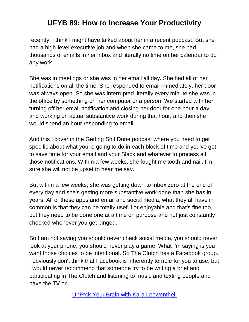recently, I think I might have talked about her in a recent podcast. But she had a high-level executive job and when she came to me, she had thousands of emails in her inbox and literally no time on her calendar to do any work.

She was in meetings or she was in her email all day. She had all of her notifications on all the time. She responded to email immediately, her door was always open. So she was interrupted literally every minute she was in the office by something on her computer or a person. We started with her turning off her email notification and closing her door for one hour a day and working on actual substantive work during that hour, and then she would spend an hour responding to email.

And this I cover in the Getting Shit Done podcast where you need to get specific about what you're going to do in each block of time and you've got to save time for your email and your Slack and whatever to process all those notifications. Within a few weeks, she fought me tooth and nail. I'm sure she will not be upset to hear me say.

But within a few weeks, she was getting down to inbox zero at the end of every day and she's getting more substantive work done than she has in years. All of these apps and email and social media, what they all have in common is that they can be totally useful or enjoyable and that's fine too, but they need to be done one at a time on purpose and not just constantly checked whenever you get pinged.

So I am not saying you should never check social media, you should never look at your phone, you should never play a game. What I'm saying is you want those choices to be intentional. So The Clutch has a Facebook group. I obviously don't think that Facebook is inherently terrible for you to use, but I would never recommend that someone try to be writing a brief and participating in The Clutch and listening to music and texting people and have the TV on.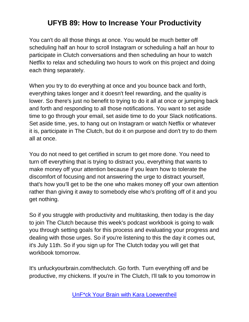You can't do all those things at once. You would be much better off scheduling half an hour to scroll Instagram or scheduling a half an hour to participate in Clutch conversations and then scheduling an hour to watch Netflix to relax and scheduling two hours to work on this project and doing each thing separately.

When you try to do everything at once and you bounce back and forth, everything takes longer and it doesn't feel rewarding, and the quality is lower. So there's just no benefit to trying to do it all at once or jumping back and forth and responding to all those notifications. You want to set aside time to go through your email, set aside time to do your Slack notifications. Set aside time, yes, to hang out on Instagram or watch Netflix or whatever it is, participate in The Clutch, but do it on purpose and don't try to do them all at once.

You do not need to get certified in scrum to get more done. You need to turn off everything that is trying to distract you, everything that wants to make money off your attention because if you learn how to tolerate the discomfort of focusing and not answering the urge to distract yourself, that's how you'll get to be the one who makes money off your own attention rather than giving it away to somebody else who's profiting off of it and you get nothing.

So if you struggle with productivity and multitasking, then today is the day to join The Clutch because this week's podcast workbook is going to walk you through setting goals for this process and evaluating your progress and dealing with those urges. So if you're listening to this the day it comes out, it's July 11th. So if you sign up for The Clutch today you will get that workbook tomorrow.

It's unfuckyourbrain.com/theclutch. Go forth. Turn everything off and be productive, my chickens. If you're in The Clutch, I'll talk to you tomorrow in